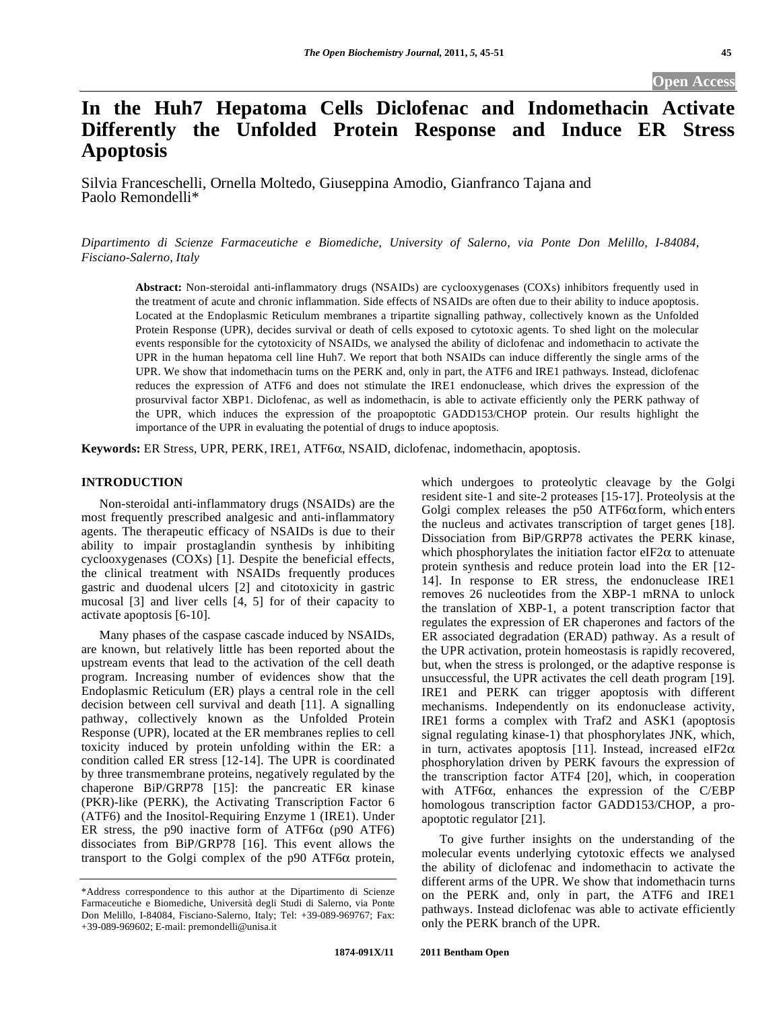**Open Access** 

# **In the Huh7 Hepatoma Cells Diclofenac and Indomethacin Activate Differently the Unfolded Protein Response and Induce ER Stress Apoptosis**

Silvia Franceschelli, Ornella Moltedo, Giuseppina Amodio, Gianfranco Tajana and Paolo Remondelli\*

*Dipartimento di Scienze Farmaceutiche e Biomediche, University of Salerno, via Ponte Don Melillo, I-84084, Fisciano-Salerno, Italy* 

**Abstract:** Non-steroidal anti-inflammatory drugs (NSAIDs) are cyclooxygenases (COXs) inhibitors frequently used in the treatment of acute and chronic inflammation. Side effects of NSAIDs are often due to their ability to induce apoptosis. Located at the Endoplasmic Reticulum membranes a tripartite signalling pathway, collectively known as the Unfolded Protein Response (UPR), decides survival or death of cells exposed to cytotoxic agents. To shed light on the molecular events responsible for the cytotoxicity of NSAIDs, we analysed the ability of diclofenac and indomethacin to activate the UPR in the human hepatoma cell line Huh7. We report that both NSAIDs can induce differently the single arms of the UPR. We show that indomethacin turns on the PERK and, only in part, the ATF6 and IRE1 pathways. Instead, diclofenac reduces the expression of ATF6 and does not stimulate the IRE1 endonuclease, which drives the expression of the prosurvival factor XBP1. Diclofenac, as well as indomethacin, is able to activate efficiently only the PERK pathway of the UPR, which induces the expression of the proapoptotic GADD153/CHOP protein. Our results highlight the importance of the UPR in evaluating the potential of drugs to induce apoptosis.

**Keywords:** ER Stress, UPR, PERK, IRE1, ATF6, NSAID, diclofenac, indomethacin, apoptosis.

## **INTRODUCTION**

 Non-steroidal anti-inflammatory drugs (NSAIDs) are the most frequently prescribed analgesic and anti-inflammatory agents. The therapeutic efficacy of NSAIDs is due to their ability to impair prostaglandin synthesis by inhibiting cyclooxygenases (COXs) [1]. Despite the beneficial effects, the clinical treatment with NSAIDs frequently produces gastric and duodenal ulcers [2] and citotoxicity in gastric mucosal [3] and liver cells [4, 5] for of their capacity to activate apoptosis [6-10].

 Many phases of the caspase cascade induced by NSAIDs, are known, but relatively little has been reported about the upstream events that lead to the activation of the cell death program. Increasing number of evidences show that the Endoplasmic Reticulum (ER) plays a central role in the cell decision between cell survival and death [11]. A signalling pathway, collectively known as the Unfolded Protein Response (UPR), located at the ER membranes replies to cell toxicity induced by protein unfolding within the ER: a condition called ER stress [12-14]. The UPR is coordinated by three transmembrane proteins, negatively regulated by the chaperone BiP/GRP78 [15]: the pancreatic ER kinase (PKR)-like (PERK), the Activating Transcription Factor 6 (ATF6) and the Inositol-Requiring Enzyme 1 (IRE1). Under ER stress, the p90 inactive form of ATF6 $\alpha$  (p90 ATF6) dissociates from BiP/GRP78 [16]. This event allows the transport to the Golgi complex of the  $p90$  ATF6 $\alpha$  protein,

which undergoes to proteolytic cleavage by the Golgi resident site-1 and site-2 proteases [15-17]. Proteolysis at the Golgi complex releases the p50 ATF6 $\alpha$  form, which enters the nucleus and activates transcription of target genes [18]. Dissociation from BiP/GRP78 activates the PERK kinase, which phosphorylates the initiation factor eIF2 $\alpha$  to attenuate protein synthesis and reduce protein load into the ER [12- 14]. In response to ER stress, the endonuclease IRE1 removes 26 nucleotides from the XBP-1 mRNA to unlock the translation of XBP-1, a potent transcription factor that regulates the expression of ER chaperones and factors of the ER associated degradation (ERAD) pathway. As a result of the UPR activation, protein homeostasis is rapidly recovered, but, when the stress is prolonged, or the adaptive response is unsuccessful, the UPR activates the cell death program [19]. IRE1 and PERK can trigger apoptosis with different mechanisms. Independently on its endonuclease activity, IRE1 forms a complex with Traf2 and ASK1 (apoptosis signal regulating kinase-1) that phosphorylates JNK, which, in turn, activates apoptosis [11]. Instead, increased eIF2 $\alpha$ phosphorylation driven by PERK favours the expression of the transcription factor ATF4 [20], which, in cooperation with ATF6 $\alpha$ , enhances the expression of the C/EBP homologous transcription factor GADD153/CHOP, a proapoptotic regulator [21].

 To give further insights on the understanding of the molecular events underlying cytotoxic effects we analysed the ability of diclofenac and indomethacin to activate the different arms of the UPR. We show that indomethacin turns on the PERK and, only in part, the ATF6 and IRE1 pathways. Instead diclofenac was able to activate efficiently only the PERK branch of the UPR.

<sup>\*</sup>Address correspondence to this author at the Dipartimento di Scienze Farmaceutiche e Biomediche, Università degli Studi di Salerno, via Ponte Don Melillo, I-84084, Fisciano-Salerno, Italy; Tel: +39-089-969767; Fax: +39-089-969602; E-mail: premondelli@unisa.it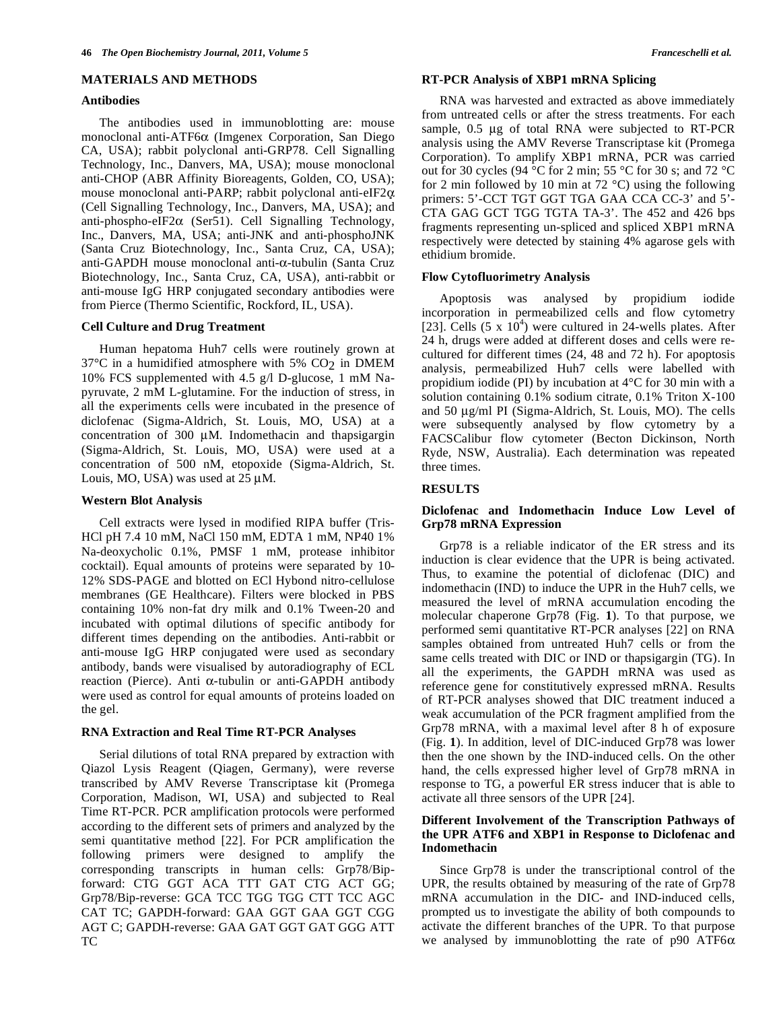#### **MATERIALS AND METHODS**

#### **Antibodies**

 The antibodies used in immunoblotting are: mouse monoclonal anti-ATF6 $\alpha$  (Imgenex Corporation, San Diego CA, USA); rabbit polyclonal anti-GRP78. Cell Signalling Technology, Inc., Danvers, MA, USA); mouse monoclonal anti-CHOP (ABR Affinity Bioreagents, Golden, CO, USA); mouse monoclonal anti-PARP; rabbit polyclonal anti-eIF2 $\alpha$ (Cell Signalling Technology, Inc., Danvers, MA, USA); and anti-phospho-eIF2 $\alpha$  (Ser51). Cell Signalling Technology, Inc., Danvers, MA, USA; anti-JNK and anti-phosphoJNK (Santa Cruz Biotechnology, Inc., Santa Cruz, CA, USA); anti-GAPDH mouse monoclonal anti- $\alpha$ -tubulin (Santa Cruz Biotechnology, Inc., Santa Cruz, CA, USA), anti-rabbit or anti-mouse IgG HRP conjugated secondary antibodies were from Pierce (Thermo Scientific, Rockford, IL, USA).

## **Cell Culture and Drug Treatment**

 Human hepatoma Huh7 cells were routinely grown at  $37^{\circ}$ C in a humidified atmosphere with 5% CO<sub>2</sub> in DMEM 10% FCS supplemented with 4.5 g/l D-glucose, 1 mM Napyruvate, 2 mM L-glutamine. For the induction of stress, in all the experiments cells were incubated in the presence of diclofenac (Sigma-Aldrich, St. Louis, MO, USA) at a concentration of 300 μM. Indomethacin and thapsigargin (Sigma-Aldrich, St. Louis, MO, USA) were used at a concentration of 500 nM, etopoxide (Sigma-Aldrich, St. Louis, MO, USA) was used at 25 μM.

### **Western Blot Analysis**

 Cell extracts were lysed in modified RIPA buffer (Tris-HCl pH 7.4 10 mM, NaCl 150 mM, EDTA 1 mM, NP40 1% Na-deoxycholic 0.1%, PMSF 1 mM, protease inhibitor cocktail). Equal amounts of proteins were separated by 10- 12% SDS-PAGE and blotted on ECl Hybond nitro-cellulose membranes (GE Healthcare). Filters were blocked in PBS containing 10% non-fat dry milk and 0.1% Tween-20 and incubated with optimal dilutions of specific antibody for different times depending on the antibodies. Anti-rabbit or anti-mouse IgG HRP conjugated were used as secondary antibody, bands were visualised by autoradiography of ECL reaction (Pierce). Anti  $\alpha$ -tubulin or anti-GAPDH antibody were used as control for equal amounts of proteins loaded on the gel.

### **RNA Extraction and Real Time RT-PCR Analyses**

 Serial dilutions of total RNA prepared by extraction with Qiazol Lysis Reagent (Qiagen, Germany), were reverse transcribed by AMV Reverse Transcriptase kit (Promega Corporation, Madison, WI, USA) and subjected to Real Time RT-PCR. PCR amplification protocols were performed according to the different sets of primers and analyzed by the semi quantitative method [22]. For PCR amplification the following primers were designed to amplify the corresponding transcripts in human cells: Grp78/Bipforward: CTG GGT ACA TTT GAT CTG ACT GG; Grp78/Bip-reverse: GCA TCC TGG TGG CTT TCC AGC CAT TC; GAPDH-forward: GAA GGT GAA GGT CGG AGT C; GAPDH-reverse: GAA GAT GGT GAT GGG ATT TC

## **RT-PCR Analysis of XBP1 mRNA Splicing**

 RNA was harvested and extracted as above immediately from untreated cells or after the stress treatments. For each sample, 0.5 μg of total RNA were subjected to RT-PCR analysis using the AMV Reverse Transcriptase kit (Promega Corporation). To amplify XBP1 mRNA, PCR was carried out for 30 cycles (94 °C for 2 min; 55 °C for 30 s; and 72 °C for 2 min followed by 10 min at 72  $^{\circ}$ C) using the following primers: 5'-CCT TGT GGT TGA GAA CCA CC-3' and 5'- CTA GAG GCT TGG TGTA TA-3'. The 452 and 426 bps fragments representing un-spliced and spliced XBP1 mRNA respectively were detected by staining 4% agarose gels with ethidium bromide.

# **Flow Cytofluorimetry Analysis**

 Apoptosis was analysed by propidium iodide incorporation in permeabilized cells and flow cytometry [23]. Cells  $(5 \times 10^4)$  were cultured in 24-wells plates. After 24 h, drugs were added at different doses and cells were recultured for different times (24, 48 and 72 h). For apoptosis analysis, permeabilized Huh7 cells were labelled with propidium iodide (PI) by incubation at 4°C for 30 min with a solution containing 0.1% sodium citrate, 0.1% Triton X-100 and 50 μg/ml PI (Sigma-Aldrich, St. Louis, MO). The cells were subsequently analysed by flow cytometry by a FACSCalibur flow cytometer (Becton Dickinson, North Ryde, NSW, Australia). Each determination was repeated three times.

## **RESULTS**

# **Diclofenac and Indomethacin Induce Low Level of Grp78 mRNA Expression**

 Grp78 is a reliable indicator of the ER stress and its induction is clear evidence that the UPR is being activated. Thus, to examine the potential of diclofenac (DIC) and indomethacin (IND) to induce the UPR in the Huh7 cells, we measured the level of mRNA accumulation encoding the molecular chaperone Grp78 (Fig. **1**). To that purpose, we performed semi quantitative RT-PCR analyses [22] on RNA samples obtained from untreated Huh7 cells or from the same cells treated with DIC or IND or thapsigargin (TG). In all the experiments, the GAPDH mRNA was used as reference gene for constitutively expressed mRNA. Results of RT-PCR analyses showed that DIC treatment induced a weak accumulation of the PCR fragment amplified from the Grp78 mRNA, with a maximal level after 8 h of exposure (Fig. **1**). In addition, level of DIC-induced Grp78 was lower then the one shown by the IND-induced cells. On the other hand, the cells expressed higher level of Grp78 mRNA in response to TG, a powerful ER stress inducer that is able to activate all three sensors of the UPR [24].

# **Different Involvement of the Transcription Pathways of the UPR ATF6 and XBP1 in Response to Diclofenac and Indomethacin**

 Since Grp78 is under the transcriptional control of the UPR, the results obtained by measuring of the rate of Grp78 mRNA accumulation in the DIC- and IND-induced cells, prompted us to investigate the ability of both compounds to activate the different branches of the UPR. To that purpose we analysed by immunoblotting the rate of p90 ATF6 $\alpha$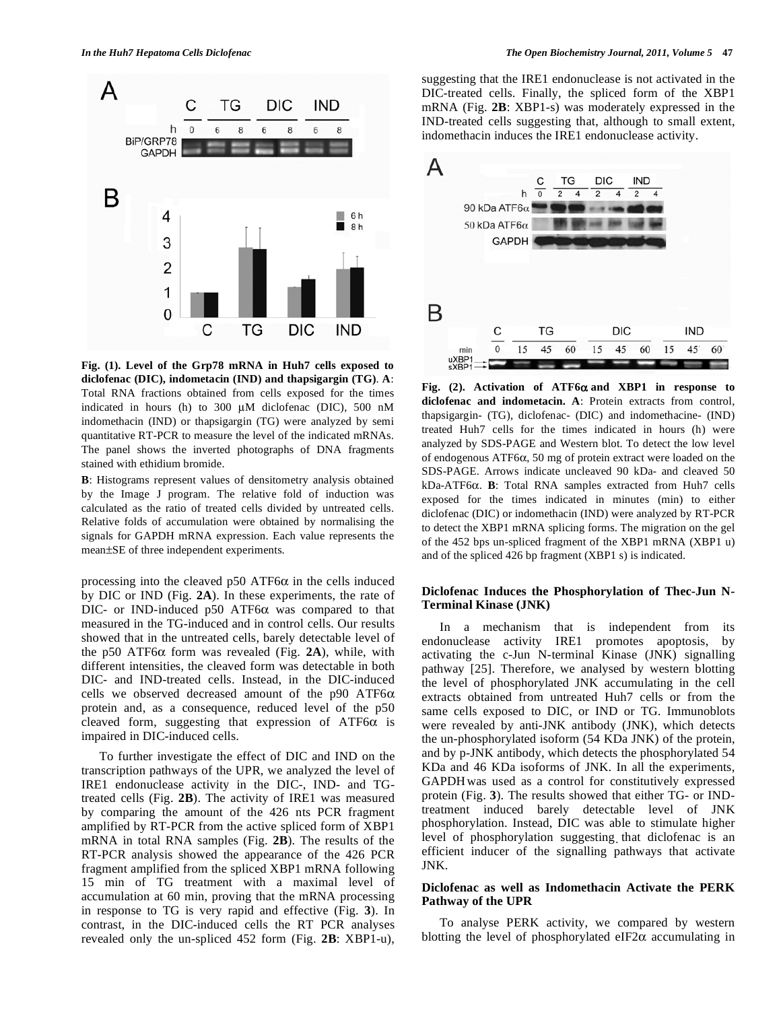

**Fig. (1). Level of the Grp78 mRNA in Huh7 cells exposed to diclofenac (DIC), indometacin (IND) and thapsigargin (TG)**. **A**: Total RNA fractions obtained from cells exposed for the times indicated in hours (h) to 300 μM diclofenac (DIC), 500 nM indomethacin (IND) or thapsigargin (TG) were analyzed by semi quantitative RT-PCR to measure the level of the indicated mRNAs. The panel shows the inverted photographs of DNA fragments stained with ethidium bromide.

**B**: Histograms represent values of densitometry analysis obtained by the Image J program. The relative fold of induction was calculated as the ratio of treated cells divided by untreated cells. Relative folds of accumulation were obtained by normalising the signals for GAPDH mRNA expression. Each value represents the mean±SE of three independent experiments.

processing into the cleaved p50 ATF6 $\alpha$  in the cells induced by DIC or IND (Fig. **2A**). In these experiments, the rate of DIC- or IND-induced p50 ATF6 $\alpha$  was compared to that measured in the TG-induced and in control cells. Our results showed that in the untreated cells, barely detectable level of the p50 ATF6 $\alpha$  form was revealed (Fig. 2A), while, with different intensities, the cleaved form was detectable in both DIC- and IND-treated cells. Instead, in the DIC-induced cells we observed decreased amount of the p90 ATF6 $\alpha$ protein and, as a consequence, reduced level of the p50 cleaved form, suggesting that expression of ATF6 $\alpha$  is impaired in DIC-induced cells.

 To further investigate the effect of DIC and IND on the transcription pathways of the UPR, we analyzed the level of IRE1 endonuclease activity in the DIC-, IND- and TGtreated cells (Fig. **2B**). The activity of IRE1 was measured by comparing the amount of the 426 nts PCR fragment amplified by RT-PCR from the active spliced form of XBP1 mRNA in total RNA samples (Fig. **2B**). The results of the RT-PCR analysis showed the appearance of the 426 PCR fragment amplified from the spliced XBP1 mRNA following 15 min of TG treatment with a maximal level of accumulation at 60 min, proving that the mRNA processing in response to TG is very rapid and effective (Fig. **3**). In contrast, in the DIC-induced cells the RT PCR analyses revealed only the un-spliced 452 form (Fig. **2B**: XBP1-u),

suggesting that the IRE1 endonuclease is not activated in the DIC-treated cells. Finally, the spliced form of the XBP1 mRNA (Fig. **2B**: XBP1-s) was moderately expressed in the IND-treated cells suggesting that, although to small extent, indomethacin induces the IRE1 endonuclease activity.



**Fig. (2). Activation of ATF6 and XBP1 in response to diclofenac and indometacin. A**: Protein extracts from control, thapsigargin- (TG), diclofenac- (DIC) and indomethacine- (IND) treated Huh7 cells for the times indicated in hours (h) were analyzed by SDS-PAGE and Western blot. To detect the low level of endogenous ATF6 $\alpha$ , 50 mg of protein extract were loaded on the SDS-PAGE. Arrows indicate uncleaved 90 kDa- and cleaved 50 kDa-ATF6α. **B**: Total RNA samples extracted from Huh7 cells exposed for the times indicated in minutes (min) to either diclofenac (DIC) or indomethacin (IND) were analyzed by RT-PCR to detect the XBP1 mRNA splicing forms. The migration on the gel of the 452 bps un-spliced fragment of the XBP1 mRNA (XBP1 u) and of the spliced 426 bp fragment (XBP1 s) is indicated.

# **Diclofenac Induces the Phosphorylation of Thec-Jun N-Terminal Kinase (JNK)**

 In a mechanism that is independent from its endonuclease activity IRE1 promotes apoptosis, by activating the c-Jun N-terminal Kinase (JNK) signalling pathway [25]. Therefore, we analysed by western blotting the level of phosphorylated JNK accumulating in the cell extracts obtained from untreated Huh7 cells or from the same cells exposed to DIC, or IND or TG. Immunoblots were revealed by anti-JNK antibody (JNK), which detects the un-phosphorylated isoform (54 KDa JNK) of the protein, and by p-JNK antibody, which detects the phosphorylated 54 KDa and 46 KDa isoforms of JNK. In all the experiments, GAPDHwas used as a control for constitutively expressed protein (Fig. **3**). The results showed that either TG- or INDtreatment induced barely detectable level of JNK phosphorylation. Instead, DIC was able to stimulate higher level of phosphorylation suggesting that diclofenac is an efficient inducer of the signalling pathways that activate JNK.

# **Diclofenac as well as Indomethacin Activate the PERK Pathway of the UPR**

 To analyse PERK activity, we compared by western blotting the level of phosphorylated eIF2 $\alpha$  accumulating in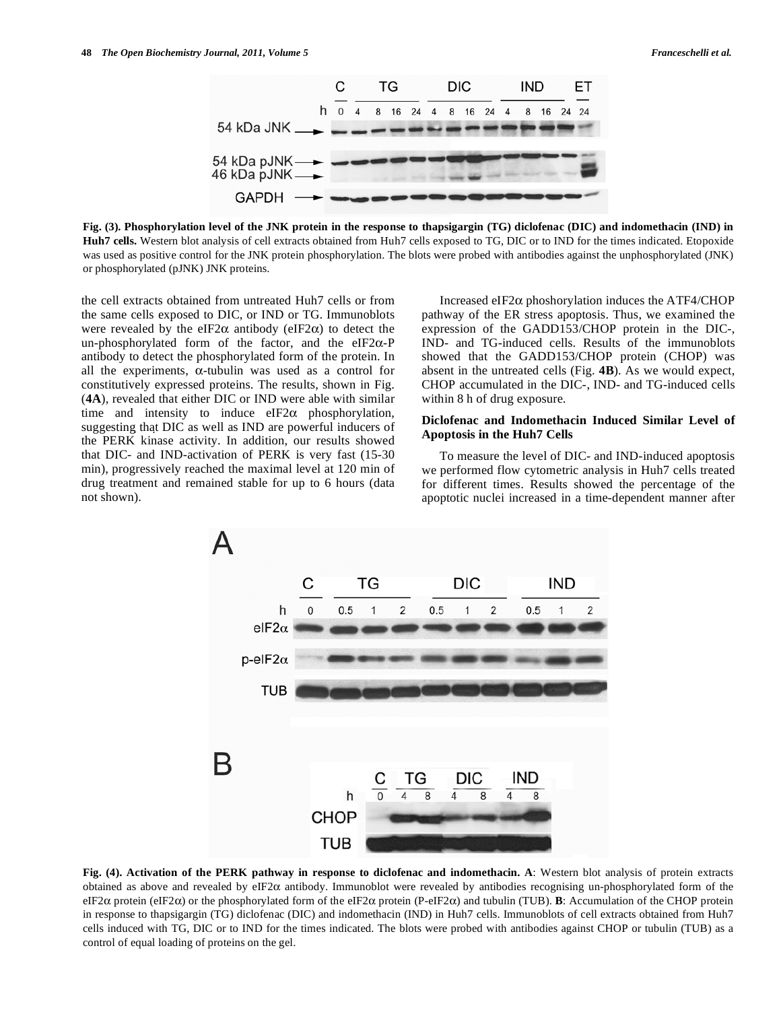

**Fig. (3). Phosphorylation level of the JNK protein in the response to thapsigargin (TG) diclofenac (DIC) and indomethacin (IND) in Huh7 cells.** Western blot analysis of cell extracts obtained from Huh7 cells exposed to TG, DIC or to IND for the times indicated. Etopoxide was used as positive control for the JNK protein phosphorylation. The blots were probed with antibodies against the unphosphorylated (JNK) or phosphorylated (pJNK) JNK proteins.

the cell extracts obtained from untreated Huh7 cells or from the same cells exposed to DIC, or IND or TG. Immunoblots were revealed by the eIF2 $\alpha$  antibody (eIF2 $\alpha$ ) to detect the un-phosphorylated form of the factor, and the eIF2 $\alpha$ -P antibody to detect the phosphorylated form of the protein. In all the experiments,  $\alpha$ -tubulin was used as a control for constitutively expressed proteins. The results, shown in Fig. (**4A**), revealed that either DIC or IND were able with similar time and intensity to induce  $eIF2\alpha$  phosphorylation, suggesting that DIC as well as IND are powerful inducers of the PERK kinase activity. In addition, our results showed that DIC- and IND-activation of PERK is very fast (15-30 min), progressively reached the maximal level at 120 min of drug treatment and remained stable for up to 6 hours (data not shown).

Increased eIF2 $\alpha$  phoshorylation induces the ATF4/CHOP pathway of the ER stress apoptosis. Thus, we examined the expression of the GADD153/CHOP protein in the DIC-, IND- and TG-induced cells. Results of the immunoblots showed that the GADD153/CHOP protein (CHOP) was absent in the untreated cells (Fig. **4B**). As we would expect, CHOP accumulated in the DIC-, IND- and TG-induced cells within 8 h of drug exposure.

## **Diclofenac and Indomethacin Induced Similar Level of Apoptosis in the Huh7 Cells**

 To measure the level of DIC- and IND-induced apoptosis we performed flow cytometric analysis in Huh7 cells treated for different times. Results showed the percentage of the apoptotic nuclei increased in a time-dependent manner after



**Fig. (4). Activation of the PERK pathway in response to diclofenac and indomethacin. A**: Western blot analysis of protein extracts obtained as above and revealed by eIF2 $\alpha$  antibody. Immunoblot were revealed by antibodies recognising un-phosphorylated form of the eIF2 $\alpha$  protein (eIF2 $\alpha$ ) or the phosphorylated form of the eIF2 $\alpha$  protein (P-eIF2 $\alpha$ ) and tubulin (TUB). **B**: Accumulation of the CHOP protein in response to thapsigargin (TG) diclofenac (DIC) and indomethacin (IND) in Huh7 cells. Immunoblots of cell extracts obtained from Huh7 cells induced with TG, DIC or to IND for the times indicated. The blots were probed with antibodies against CHOP or tubulin (TUB) as a control of equal loading of proteins on the gel.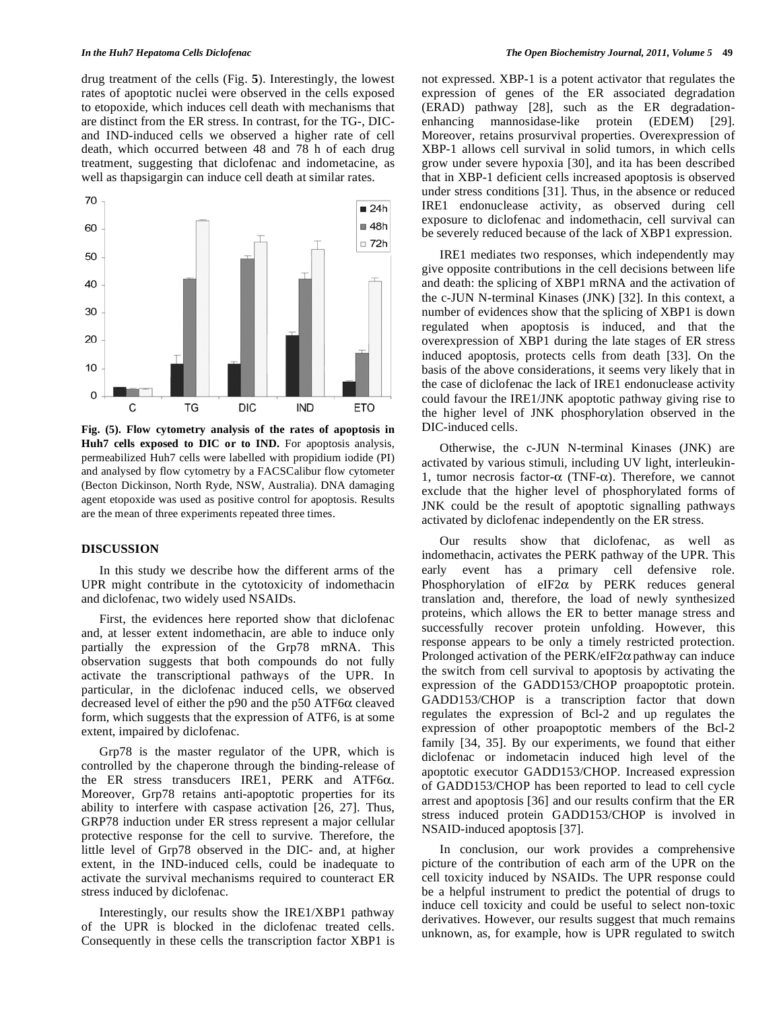drug treatment of the cells (Fig. **5**). Interestingly, the lowest rates of apoptotic nuclei were observed in the cells exposed to etopoxide, which induces cell death with mechanisms that are distinct from the ER stress. In contrast, for the TG-, DICand IND-induced cells we observed a higher rate of cell death, which occurred between 48 and 78 h of each drug treatment, suggesting that diclofenac and indometacine, as well as thapsigargin can induce cell death at similar rates.



**Fig. (5). Flow cytometry analysis of the rates of apoptosis in**  Huh7 cells exposed to DIC or to IND. For apoptosis analysis, permeabilized Huh7 cells were labelled with propidium iodide (PI) and analysed by flow cytometry by a FACSCalibur flow cytometer (Becton Dickinson, North Ryde, NSW, Australia). DNA damaging agent etopoxide was used as positive control for apoptosis. Results are the mean of three experiments repeated three times.

#### **DISCUSSION**

 In this study we describe how the different arms of the UPR might contribute in the cytotoxicity of indomethacin and diclofenac, two widely used NSAIDs.

 First, the evidences here reported show that diclofenac and, at lesser extent indomethacin, are able to induce only partially the expression of the Grp78 mRNA. This observation suggests that both compounds do not fully activate the transcriptional pathways of the UPR. In particular, in the diclofenac induced cells, we observed decreased level of either the p90 and the p50 ATF6 $\alpha$  cleaved form, which suggests that the expression of ATF6, is at some extent, impaired by diclofenac.

 Grp78 is the master regulator of the UPR, which is controlled by the chaperone through the binding-release of the ER stress transducers IRE1, PERK and ATF6 $\alpha$ . Moreover, Grp78 retains anti-apoptotic properties for its ability to interfere with caspase activation [26, 27]. Thus, GRP78 induction under ER stress represent a major cellular protective response for the cell to survive. Therefore, the little level of Grp78 observed in the DIC- and, at higher extent, in the IND-induced cells, could be inadequate to activate the survival mechanisms required to counteract ER stress induced by diclofenac.

 Interestingly, our results show the IRE1/XBP1 pathway of the UPR is blocked in the diclofenac treated cells. Consequently in these cells the transcription factor XBP1 is not expressed. XBP-1 is a potent activator that regulates the expression of genes of the ER associated degradation (ERAD) pathway [28], such as the ER degradationenhancing mannosidase-like protein (EDEM) [29]. Moreover, retains prosurvival properties. Overexpression of XBP-1 allows cell survival in solid tumors, in which cells grow under severe hypoxia [30], and ita has been described that in XBP-1 deficient cells increased apoptosis is observed under stress conditions [31]. Thus, in the absence or reduced IRE1 endonuclease activity, as observed during cell exposure to diclofenac and indomethacin, cell survival can be severely reduced because of the lack of XBP1 expression.

 IRE1 mediates two responses, which independently may give opposite contributions in the cell decisions between life and death: the splicing of XBP1 mRNA and the activation of the c-JUN N-terminal Kinases (JNK) [32]. In this context, a number of evidences show that the splicing of XBP1 is down regulated when apoptosis is induced, and that the overexpression of XBP1 during the late stages of ER stress induced apoptosis, protects cells from death [33]. On the basis of the above considerations, it seems very likely that in the case of diclofenac the lack of IRE1 endonuclease activity could favour the IRE1/JNK apoptotic pathway giving rise to the higher level of JNK phosphorylation observed in the DIC-induced cells.

 Otherwise, the c-JUN N-terminal Kinases (JNK) are activated by various stimuli, including UV light, interleukin-1, tumor necrosis factor- $\alpha$  (TNF- $\alpha$ ). Therefore, we cannot exclude that the higher level of phosphorylated forms of JNK could be the result of apoptotic signalling pathways activated by diclofenac independently on the ER stress.

 Our results show that diclofenac, as well as indomethacin, activates the PERK pathway of the UPR. This early event has a primary cell defensive role. Phosphorylation of eIF2 $\alpha$  by PERK reduces general translation and, therefore, the load of newly synthesized proteins, which allows the ER to better manage stress and successfully recover protein unfolding. However, this response appears to be only a timely restricted protection. Prolonged activation of the PERK/eIF2 $\alpha$  pathway can induce the switch from cell survival to apoptosis by activating the expression of the GADD153/CHOP proapoptotic protein. GADD153/CHOP is a transcription factor that down regulates the expression of Bcl-2 and up regulates the expression of other proapoptotic members of the Bcl-2 family [34, 35]. By our experiments, we found that either diclofenac or indometacin induced high level of the apoptotic executor GADD153/CHOP. Increased expression of GADD153/CHOP has been reported to lead to cell cycle arrest and apoptosis [36] and our results confirm that the ER stress induced protein GADD153/CHOP is involved in NSAID-induced apoptosis [37].

 In conclusion, our work provides a comprehensive picture of the contribution of each arm of the UPR on the cell toxicity induced by NSAIDs. The UPR response could be a helpful instrument to predict the potential of drugs to induce cell toxicity and could be useful to select non-toxic derivatives. However, our results suggest that much remains unknown, as, for example, how is UPR regulated to switch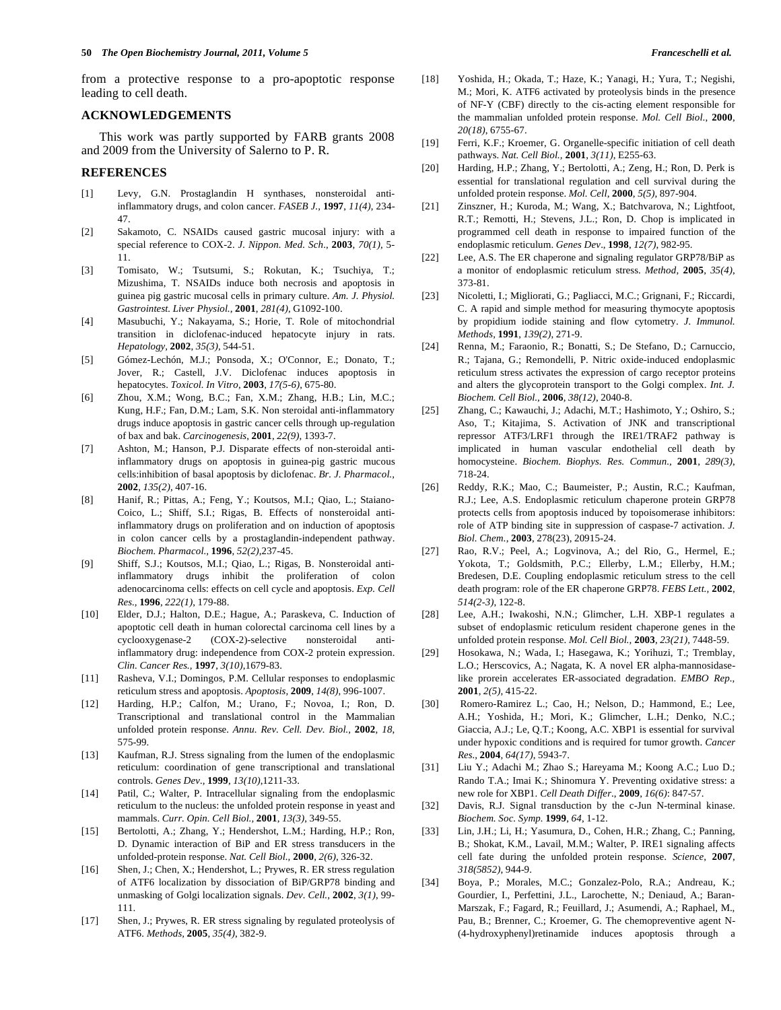from a protective response to a pro-apoptotic response leading to cell death.

#### **ACKNOWLEDGEMENTS**

 This work was partly supported by FARB grants 2008 and 2009 from the University of Salerno to P. R.

## **REFERENCES**

- [1] Levy, G.N. Prostaglandin H synthases, nonsteroidal antiinflammatory drugs, and colon cancer. *FASEB J.,* **1997**, *11(4)*, 234- 47.
- [2] Sakamoto, C. NSAIDs caused gastric mucosal injury: with a special reference to COX-2. *J. Nippon. Med. Sch*., **2003**, *70(1)*, 5- 11.
- [3] Tomisato, W.; Tsutsumi, S.; Rokutan, K.; Tsuchiya, T.; Mizushima, T. NSAIDs induce both necrosis and apoptosis in guinea pig gastric mucosal cells in primary culture. *Am. J. Physiol. Gastrointest. Liver Physiol.,* **2001**, *281(4)*, G1092-100.
- [4] Masubuchi, Y.; Nakayama, S.; Horie, T. Role of mitochondrial transition in diclofenac-induced hepatocyte injury in rats. *Hepatology,* **2002**, *35(3)*, 544-51.
- [5] Gómez-Lechón, M.J.; Ponsoda, X.; O'Connor, E.; Donato, T.; Jover, R.; Castell, J.V. Diclofenac induces apoptosis in hepatocytes. *Toxicol. In Vitro*, **2003**, *17(5-6)*, 675-80.
- [6] Zhou, X.M.; Wong, B.C.; Fan, X.M.; Zhang, H.B.; Lin, M.C.; Kung, H.F.; Fan, D.M.; Lam, S.K. Non steroidal anti-inflammatory drugs induce apoptosis in gastric cancer cells through up-regulation of bax and bak. *Carcinogenesis*, **2001**, *22(9)*, 1393-7.
- [7] Ashton, M.; Hanson, P.J. Disparate effects of non-steroidal antiinflammatory drugs on apoptosis in guinea-pig gastric mucous cells:inhibition of basal apoptosis by diclofenac. *Br. J. Pharmacol.,*  **2002**, *135(2)*, 407-16.
- [8] Hanif, R.; Pittas, A.; Feng, Y.; Koutsos, M.I.; Qiao, L.; Staiano-Coico, L.; Shiff, S.I.; Rigas, B. Effects of nonsteroidal antiinflammatory drugs on proliferation and on induction of apoptosis in colon cancer cells by a prostaglandin-independent pathway. *Biochem. Pharmacol.,* **1996**, *52(2)*,237-45.
- [9] Shiff, S.J.; Koutsos, M.I.; Qiao, L.; Rigas, B. Nonsteroidal antiinflammatory drugs inhibit the proliferation of colon adenocarcinoma cells: effects on cell cycle and apoptosis. *Exp. Cell Res.,* **1996**, *222(1)*, 179-88.
- [10] Elder, D.J.; Halton, D.E.; Hague, A.; Paraskeva, C. Induction of apoptotic cell death in human colorectal carcinoma cell lines by a cyclooxygenase-2 (COX-2)-selective nonsteroidal antiinflammatory drug: independence from COX-2 protein expression. *Clin. Cancer Res.,* **1997**, *3(10)*,1679-83.
- [11] Rasheva, V.I.; Domingos, P.M. Cellular responses to endoplasmic reticulum stress and apoptosis. *Apoptosis,* **2009**, *14(8)*, 996-1007.
- [12] Harding, H.P.; Calfon, M.; Urano, F.; Novoa, I.; Ron, D. Transcriptional and translational control in the Mammalian unfolded protein response. *Annu. Rev. Cell. Dev. Biol.,* **2002**, *18*, 575-99.
- [13] Kaufman, R.J. Stress signaling from the lumen of the endoplasmic reticulum: coordination of gene transcriptional and translational controls. *Genes Dev.,* **1999**, *13(10)*,1211-33.
- [14] Patil, C.; Walter, P. Intracellular signaling from the endoplasmic reticulum to the nucleus: the unfolded protein response in yeast and mammals. *Curr. Opin. Cell Biol.,* **2001**, *13(3)*, 349-55.
- [15] Bertolotti, A.; Zhang, Y.; Hendershot, L.M.; Harding, H.P.; Ron, D. Dynamic interaction of BiP and ER stress transducers in the unfolded-protein response. *Nat. Cell Biol.,* **2000**, *2(6)*, 326-32.
- [16] Shen, J.; Chen, X.; Hendershot, L.; Prywes, R. ER stress regulation of ATF6 localization by dissociation of BiP/GRP78 binding and unmasking of Golgi localization signals. *Dev. Cell.,* **2002**, *3(1)*, 99- 111.
- [17] Shen, J.; Prywes, R. ER stress signaling by regulated proteolysis of ATF6. *Methods,* **2005**, *35(4)*, 382-9.
- [18] Yoshida, H.; Okada, T.; Haze, K.; Yanagi, H.; Yura, T.; Negishi, M.; Mori, K. ATF6 activated by proteolysis binds in the presence of NF-Y (CBF) directly to the cis-acting element responsible for the mammalian unfolded protein response. *Mol. Cell Biol*., **2000**, *20(18)*, 6755-67.
- [19] Ferri, K.F.; Kroemer, G. Organelle-specific initiation of cell death pathways. *Nat. Cell Biol.,* **2001**, *3(11)*, E255-63.
- [20] Harding, H.P.; Zhang, Y.; Bertolotti, A.; Zeng, H.; Ron, D. Perk is essential for translational regulation and cell survival during the unfolded protein response. *Mol. Cell*, **2000**, *5(5)*, 897-904.
- [21] Zinszner, H.; Kuroda, M.; Wang, X.; Batchvarova, N.; Lightfoot, R.T.; Remotti, H.; Stevens, J.L.; Ron, D. Chop is implicated in programmed cell death in response to impaired function of the endoplasmic reticulum. *Genes Dev*., **1998**, *12(7)*, 982-95.
- [22] Lee, A.S. The ER chaperone and signaling regulator GRP78/BiP as a monitor of endoplasmic reticulum stress. *Method,* **2005**, *35(4)*, 373-81.
- [23] Nicoletti, I.; Migliorati, G.; Pagliacci, M.C.; Grignani, F.; Riccardi, C. A rapid and simple method for measuring thymocyte apoptosis by propidium iodide staining and flow cytometry. *J. Immunol. Methods,* **1991**, *139(2)*, 271-9.
- [24] Renna, M.; Faraonio, R.; Bonatti, S.; De Stefano, D.; Carnuccio, R.; Tajana, G.; Remondelli, P. Nitric oxide-induced endoplasmic reticulum stress activates the expression of cargo receptor proteins and alters the glycoprotein transport to the Golgi complex. *Int. J. Biochem. Cell Biol.,* **2006**, *38(12)*, 2040-8.
- [25] Zhang, C.; Kawauchi, J.; Adachi, M.T.; Hashimoto, Y.; Oshiro, S.; Aso, T.; Kitajima, S. Activation of JNK and transcriptional repressor ATF3/LRF1 through the IRE1/TRAF2 pathway is implicated in human vascular endothelial cell death by homocysteine. *Biochem. Biophys. Res. Commun.,* **2001**, *289(3)*, 718-24.
- [26] Reddy, R.K.; Mao, C.; Baumeister, P.; Austin, R.C.; Kaufman, R.J.; Lee, A.S. Endoplasmic reticulum chaperone protein GRP78 protects cells from apoptosis induced by topoisomerase inhibitors: role of ATP binding site in suppression of caspase-7 activation. *J. Biol. Chem*., **2003**, 278(23), 20915-24.
- [27] Rao, R.V.; Peel, A.; Logvinova, A.; del Rio, G., Hermel, E.; Yokota, T.; Goldsmith, P.C.; Ellerby, L.M.; Ellerby, H.M.; Bredesen, D.E. Coupling endoplasmic reticulum stress to the cell death program: role of the ER chaperone GRP78. *FEBS Lett.,* **2002**, *514(2-3)*, 122-8.
- [28] Lee, A.H.; Iwakoshi, N.N.; Glimcher, L.H. XBP-1 regulates a subset of endoplasmic reticulum resident chaperone genes in the unfolded protein response. *Mol. Cell Biol.,* **2003**, *23(21)*, 7448-59.
- [29] Hosokawa, N.; Wada, I.; Hasegawa, K.; Yorihuzi, T.; Tremblay, L.O.; Herscovics, A.; Nagata, K. A novel ER alpha-mannosidaselike prorein accelerates ER-associated degradation. *EMBO Rep.,*  **2001**, *2(5)*, 415-22.
- [30] Romero-Ramirez L.; Cao, H.; Nelson, D.; Hammond, E.; Lee, A.H.; Yoshida, H.; Mori, K.; Glimcher, L.H.; Denko, N.C.; Giaccia, A.J.; Le, Q.T.; Koong, A.C. XBP1 is essential for survival under hypoxic conditions and is required for tumor growth. *Cancer Res.,* **2004**, *64(17)*, 5943-7.
- [31] Liu Y.; Adachi M.; Zhao S.; Hareyama M.; Koong A.C.; Luo D.; Rando T.A.; Imai K.; Shinomura Y. Preventing oxidative stress: a new role for XBP1. *Cell Death Differ*., **2009**, *16(6)*: 847-57.
- [32] Davis, R.J. Signal transduction by the c-Jun N-terminal kinase. *Biochem. Soc. Symp.* **1999**, *64*, 1-12.
- [33] Lin, J.H.; Li, H.; Yasumura, D., Cohen, H.R.; Zhang, C.; Panning, B.; Shokat, K.M., Lavail, M.M.; Walter, P. IRE1 signaling affects cell fate during the unfolded protein response. *Science*, **2007**, *318(5852)*, 944-9.
- [34] Boya, P.; Morales, M.C.; Gonzalez-Polo, R.A.; Andreau, K.; Gourdier, I., Perfettini, J.L., Larochette, N.; Deniaud, A.; Baran-Marszak, F.; Fagard, R.; Feuillard, J.; Asumendi, A.; Raphael, M., Pau, B.; Brenner, C.; Kroemer, G. The chemopreventive agent N- (4-hydroxyphenyl)retinamide induces apoptosis through a